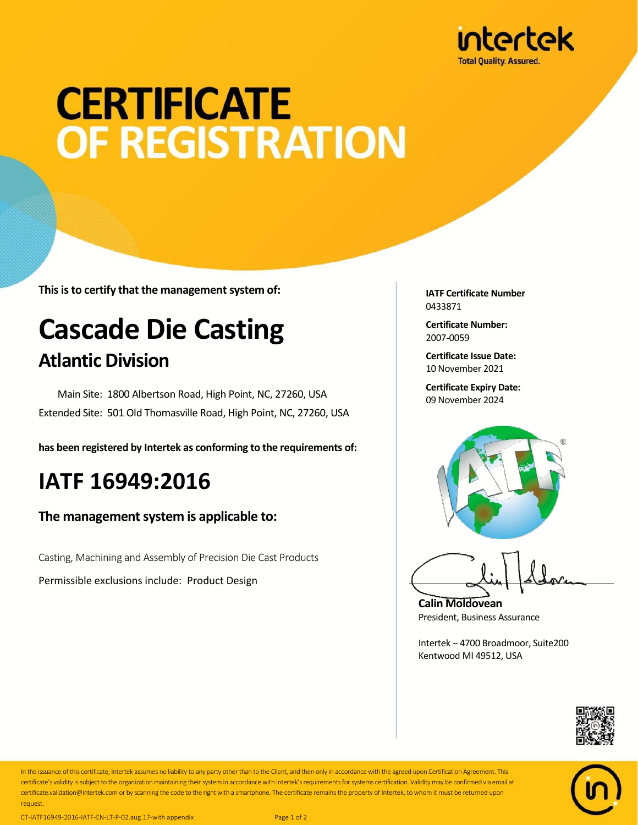

# **CERTIFICATE OF REGISTRATION**

**This is to certify that the management system of:**

## **Cascade Die Casting Atlantic Division**

 Main Site: 1800 Albertson Road, High Point, NC, 27260, USA Extended Site: 501 Old Thomasville Road, High Point, NC, 27260, USA

**has been registered by Intertek as conforming to the requirements of:**

### **IATF 16949:2016**

#### **The management system is applicable to:**

Casting, Machining and Assembly of Precision Die Cast Products

Permissible exclusions include: Product Design

**IATF Certificate Number** 0433871

**Certificate Number:** 2007-0059

**Certificate Issue Date:** 10 November 2021

**Certificate Expiry Date:** 09 November 2024



**Calin Moldovean** President, Business Assurance

Intertek – 4700 Broadmoor, Suite200 Kentwood MI 49512, USA





In the issuance of this certificate, Intertek assumes no liability to any party other than to the Client, and then only in accordance with the agreed upon Certification Agreement. This certificate's validity is subject to the organization maintaining their system in accordance with Intertek's requirements for systems certification. Validity may be confirmed via email at certificate.validation@intertek.com or by scanning the code to the right with a smartphone. The certificate remains the property of Intertek, to whom it must be returned upon request.